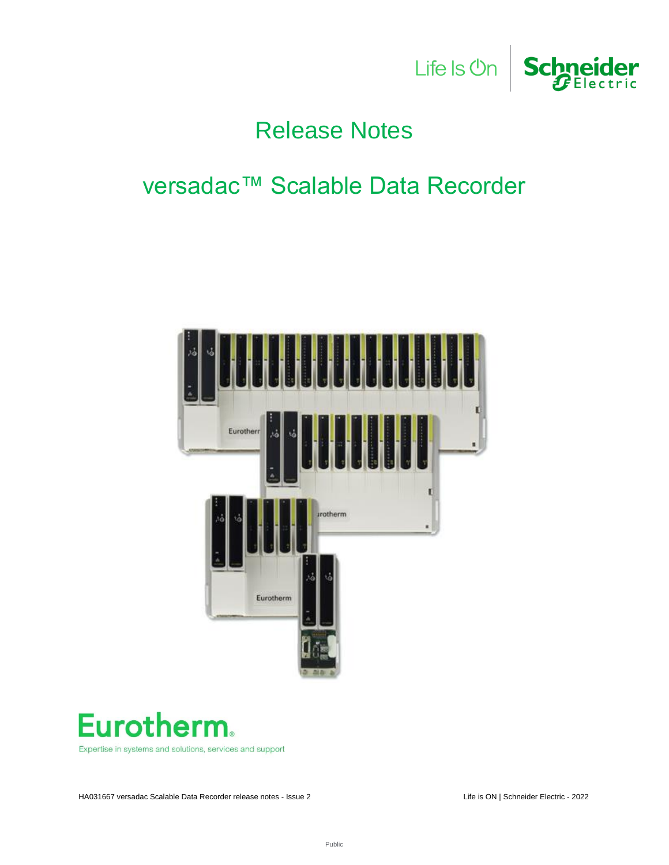

# Release Notes

# versadac™ Scalable Data Recorder





Expertise in systems and solutions, services and support

HA031667 versadac Scalable Data Recorder release notes - Issue 2 Life is ON | Schneider Electric - 2022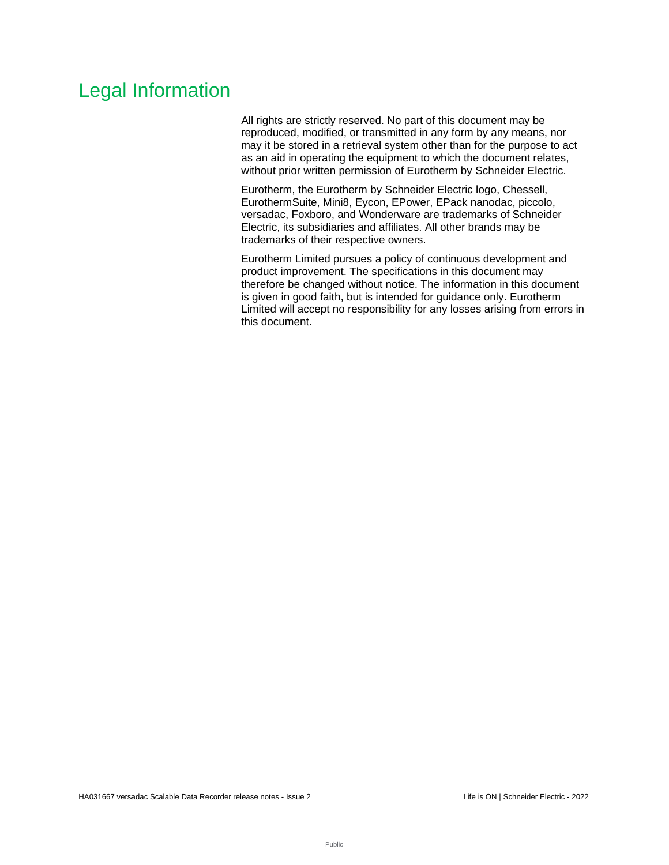# Legal Information

All rights are strictly reserved. No part of this document may be reproduced, modified, or transmitted in any form by any means, nor may it be stored in a retrieval system other than for the purpose to act as an aid in operating the equipment to which the document relates, without prior written permission of Eurotherm by Schneider Electric.

Eurotherm, the Eurotherm by Schneider Electric logo, Chessell, EurothermSuite, Mini8, Eycon, EPower, EPack nanodac, piccolo, versadac, Foxboro, and Wonderware are trademarks of Schneider Electric, its subsidiaries and affiliates. All other brands may be trademarks of their respective owners.

Eurotherm Limited pursues a policy of continuous development and product improvement. The specifications in this document may therefore be changed without notice. The information in this document is given in good faith, but is intended for guidance only. Eurotherm Limited will accept no responsibility for any losses arising from errors in this document.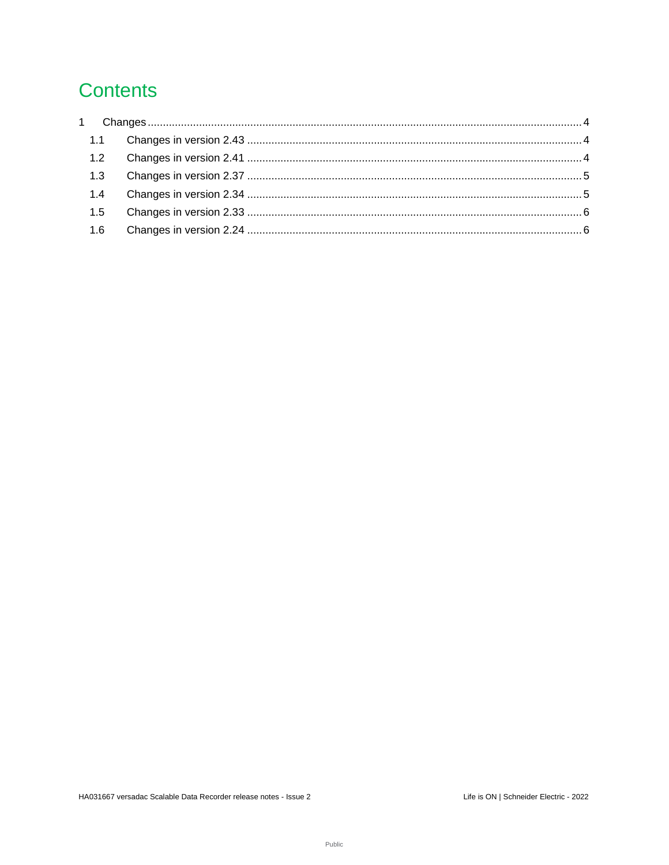# **Contents**

| $1 \quad$ |  |
|-----------|--|
| 1.1       |  |
| 1.2       |  |
| 1.3       |  |
| 1.4       |  |
| 1.5       |  |
| 1.6       |  |
|           |  |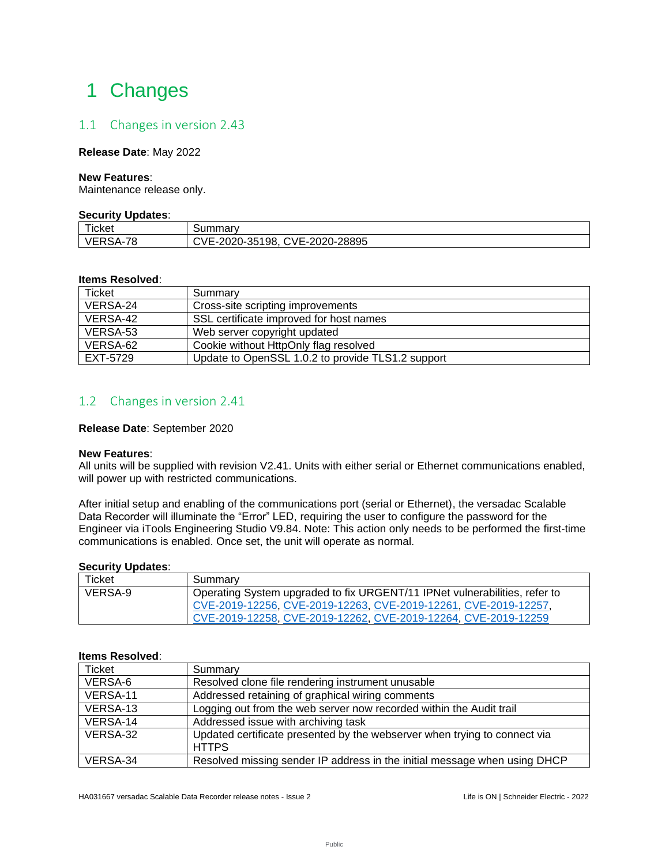# <span id="page-3-0"></span>1 Changes

## <span id="page-3-1"></span>1.1 Changes in version 2.43

#### **Release Date**: May 2022

#### **New Features**:

Maintenance release only.

#### **Security Updates**:

| $- - -$<br>icket | <b>IIIII</b> dIV                                                                          |  |
|------------------|-------------------------------------------------------------------------------------------|--|
| 70<br>∼          | -28895<br>:VF-20<br>198.<br>חרחר<br><u> ገ20-35 .</u><br>⊢- – ⁄≀<br>.<br>∠∪∠⊽<br>ັ<br>.u . |  |

#### **Items Resolved**:

| <b>Ticket</b> | Summary                                           |
|---------------|---------------------------------------------------|
| VERSA-24      | Cross-site scripting improvements                 |
| VERSA-42      | SSL certificate improved for host names           |
| VERSA-53      | Web server copyright updated                      |
| VERSA-62      | Cookie without HttpOnly flag resolved             |
| EXT-5729      | Update to OpenSSL 1.0.2 to provide TLS1.2 support |

### <span id="page-3-2"></span>1.2 Changes in version 2.41

#### **Release Date**: September 2020

#### **New Features**:

All units will be supplied with revision V2.41. Units with either serial or Ethernet communications enabled, will power up with restricted communications.

After initial setup and enabling of the communications port (serial or Ethernet), the versadac Scalable Data Recorder will illuminate the "Error" LED, requiring the user to configure the password for the Engineer via iTools Engineering Studio V9.84. Note: This action only needs to be performed the first-time communications is enabled. Once set, the unit will operate as normal.

#### **Security Updates**:

| Ticket  | Summary                                                                    |
|---------|----------------------------------------------------------------------------|
| VERSA-9 | Operating System upgraded to fix URGENT/11 IPNet vulnerabilities, refer to |
|         | CVE-2019-12256, CVE-2019-12263, CVE-2019-12261, CVE-2019-12257,            |
|         | CVE-2019-12258, CVE-2019-12262, CVE-2019-12264, CVE-2019-12259             |

#### **Items Resolved**:

| Ticket   | Summary                                                                                   |
|----------|-------------------------------------------------------------------------------------------|
| VERSA-6  | Resolved clone file rendering instrument unusable                                         |
| VERSA-11 | Addressed retaining of graphical wiring comments                                          |
| VERSA-13 | Logging out from the web server now recorded within the Audit trail                       |
| VERSA-14 | Addressed issue with archiving task                                                       |
| VERSA-32 | Updated certificate presented by the webserver when trying to connect via<br><b>HTTPS</b> |
| VERSA-34 | Resolved missing sender IP address in the initial message when using DHCP                 |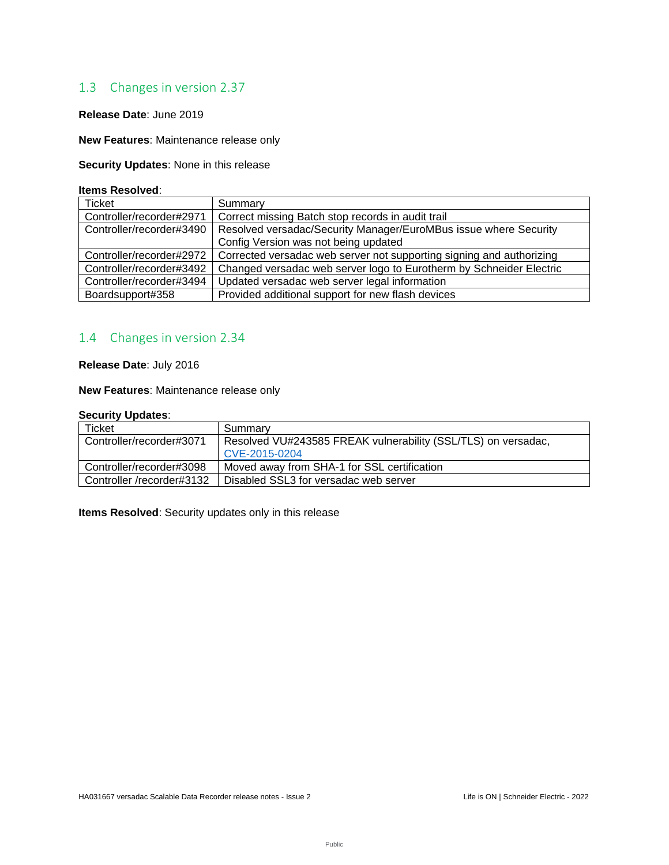## <span id="page-4-0"></span>1.3 Changes in version 2.37

### **Release Date**: June 2019

**New Features**: Maintenance release only

**Security Updates**: None in this release

#### **Items Resolved**:

| Ticket                   | Summary                                                              |
|--------------------------|----------------------------------------------------------------------|
| Controller/recorder#2971 | Correct missing Batch stop records in audit trail                    |
| Controller/recorder#3490 | Resolved versadac/Security Manager/EuroMBus issue where Security     |
|                          | Config Version was not being updated                                 |
| Controller/recorder#2972 | Corrected versadac web server not supporting signing and authorizing |
| Controller/recorder#3492 | Changed versadac web server logo to Eurotherm by Schneider Electric  |
| Controller/recorder#3494 | Updated versadac web server legal information                        |
| Boardsupport#358         | Provided additional support for new flash devices                    |

## <span id="page-4-1"></span>1.4 Changes in version 2.34

**Release Date**: July 2016

**New Features**: Maintenance release only

### **Security Updates**:

| <b>Ticket</b>             | Summary                                                       |  |
|---------------------------|---------------------------------------------------------------|--|
| Controller/recorder#3071  | Resolved VU#243585 FREAK vulnerability (SSL/TLS) on versadac, |  |
|                           | CVE-2015-0204                                                 |  |
| Controller/recorder#3098  | Moved away from SHA-1 for SSL certification                   |  |
| Controller /recorder#3132 | Disabled SSL3 for versadac web server                         |  |

**Items Resolved**: Security updates only in this release